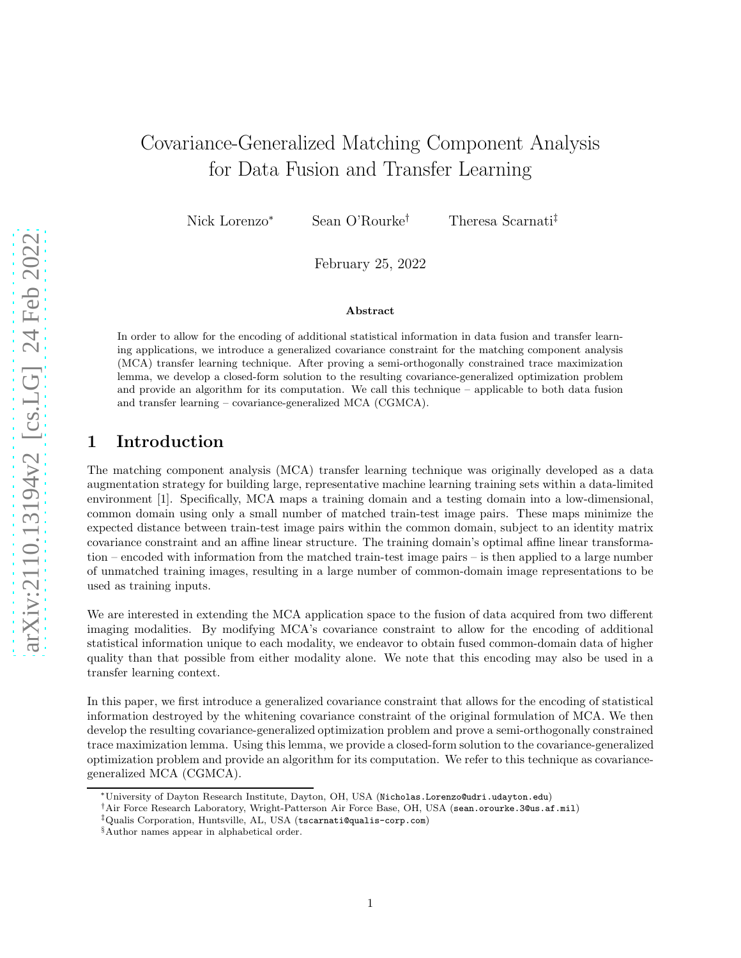# Covariance-Generalized Matching Component Analysis for Data Fusion and Transfer Learning

Nick Lorenzo<sup>∗</sup> Sean O'Rourke† Theresa Scarnati‡

February 25, 2022

#### Abstract

In order to allow for the encoding of additional statistical information in data fusion and transfer learning applications, we introduce a generalized covariance constraint for the matching component analysis (MCA) transfer learning technique. After proving a semi-orthogonally constrained trace maximization lemma, we develop a closed-form solution to the resulting covariance-generalized optimization problem and provide an algorithm for its computation. We call this technique – applicable to both data fusion and transfer learning – covariance-generalized MCA (CGMCA).

# 1 Introduction

The matching component analysis (MCA) transfer learning technique was originally developed as a data augmentation strategy for building large, representative machine learning training sets within a data-limited environment [1]. Specifically, MCA maps a training domain and a testing domain into a low-dimensional, common domain using only a small number of matched train-test image pairs. These maps minimize the expected distance between train-test image pairs within the common domain, subject to an identity matrix covariance constraint and an affine linear structure. The training domain's optimal affine linear transformation – encoded with information from the matched train-test image pairs – is then applied to a large number of unmatched training images, resulting in a large number of common-domain image representations to be used as training inputs.

We are interested in extending the MCA application space to the fusion of data acquired from two different imaging modalities. By modifying MCA's covariance constraint to allow for the encoding of additional statistical information unique to each modality, we endeavor to obtain fused common-domain data of higher quality than that possible from either modality alone. We note that this encoding may also be used in a transfer learning context.

In this paper, we first introduce a generalized covariance constraint that allows for the encoding of statistical information destroyed by the whitening covariance constraint of the original formulation of MCA. We then develop the resulting covariance-generalized optimization problem and prove a semi-orthogonally constrained trace maximization lemma. Using this lemma, we provide a closed-form solution to the covariance-generalized optimization problem and provide an algorithm for its computation. We refer to this technique as covariancegeneralized MCA (CGMCA).

<sup>∗</sup>University of Dayton Research Institute, Dayton, OH, USA (Nicholas.Lorenzo@udri.udayton.edu)

<sup>†</sup>Air Force Research Laboratory, Wright-Patterson Air Force Base, OH, USA (sean.orourke.3@us.af.mil)

<sup>‡</sup>Qualis Corporation, Huntsville, AL, USA (tscarnati@qualis-corp.com)

<sup>§</sup>Author names appear in alphabetical order.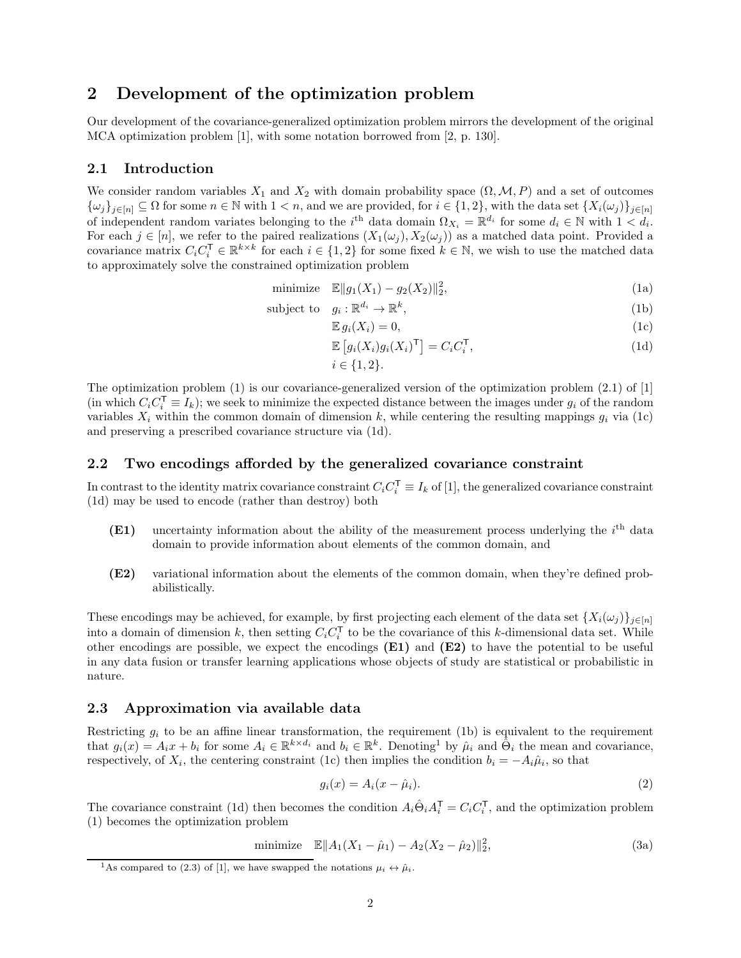### 2 Development of the optimization problem

Our development of the covariance-generalized optimization problem mirrors the development of the original MCA optimization problem [1], with some notation borrowed from [2, p. 130].

#### 2.1 Introduction

We consider random variables  $X_1$  and  $X_2$  with domain probability space  $(\Omega, \mathcal{M}, P)$  and a set of outcomes  ${\{\omega_j\}}_{j\in[n]} \subseteq \Omega$  for some  $n \in \mathbb{N}$  with  $1 < n$ , and we are provided, for  $i \in \{1,2\}$ , with the data set  ${\{X_i(\omega_j)\}}_{j\in[n]}$ of independent random variates belonging to the i<sup>th</sup> data domain  $\Omega_{X_i} = \mathbb{R}^{d_i}$  for some  $d_i \in \mathbb{N}$  with  $1 < d_i$ . For each  $j \in [n]$ , we refer to the paired realizations  $(X_1(\omega_j), X_2(\omega_j))$  as a matched data point. Provided a covariance matrix  $C_i C_i^{\mathsf{T}} \in \mathbb{R}^{k \times k}$  for each  $i \in \{1,2\}$  for some fixed  $k \in \mathbb{N}$ , we wish to use the matched data to approximately solve the constrained optimization problem

minimize 
$$
\mathbb{E} \|g_1(X_1) - g_2(X_2)\|_2^2
$$
, (1a)

subject to 
$$
g_i: \mathbb{R}^{d_i} \to \mathbb{R}^k
$$
, 
$$
(1b)
$$

$$
\mathbb{E}\,g_i(X_i)=0,\tag{1c}
$$

$$
\mathbb{E}\left[g_i(X_i)g_i(X_i)^{\mathsf{T}}\right] = C_i C_i^{\mathsf{T}},\tag{1d}
$$
\n
$$
i \in \{1, 2\}.
$$

The optimization problem (1) is our covariance-generalized version of the optimization problem (2.1) of [1] (in which  $C_i C_i^{\mathsf{T}} = I_k$ ); we seek to minimize the expected distance between the images under  $g_i$  of the random variables  $X_i$  within the common domain of dimension k, while centering the resulting mappings  $g_i$  via (1c) and preserving a prescribed covariance structure via (1d).

#### 2.2 Two encodings afforded by the generalized covariance constraint

In contrast to the identity matrix covariance constraint  $C_i C_i^{\mathsf{T}} \equiv I_k$  of [1], the generalized covariance constraint (1d) may be used to encode (rather than destroy) both

- $(E1)$  uncertainty information about the ability of the measurement process underlying the  $i<sup>th</sup>$  data domain to provide information about elements of the common domain, and
- (E2) variational information about the elements of the common domain, when they're defined probabilistically.

These encodings may be achieved, for example, by first projecting each element of the data set  $\{X_i(\omega_j)\}_{j\in[n]}$ into a domain of dimension k, then setting  $C_i C_i^{\mathsf{T}}$  to be the covariance of this k-dimensional data set. While other encodings are possible, we expect the encodings (E1) and (E2) to have the potential to be useful in any data fusion or transfer learning applications whose objects of study are statistical or probabilistic in nature.

### 2.3 Approximation via available data

Restricting  $g_i$  to be an affine linear transformation, the requirement (1b) is equivalent to the requirement that  $g_i(x) = A_i x + b_i$  for some  $A_i \in \mathbb{R}^{k \times d_i}$  and  $b_i \in \mathbb{R}^k$ . Denoting<sup>1</sup> by  $\hat{\mu}_i$  and  $\hat{\Theta}_i$  the mean and covariance, respectively, of  $X_i$ , the centering constraint (1c) then implies the condition  $b_i = -A_i \hat{\mu}_i$ , so that

$$
g_i(x) = A_i(x - \hat{\mu}_i). \tag{2}
$$

The covariance constraint (1d) then becomes the condition  $A_i \hat{\Theta}_i A_i^{\mathsf{T}} = C_i C_i^{\mathsf{T}}$ , and the optimization problem (1) becomes the optimization problem

minimize 
$$
\mathbb{E} \|A_1(X_1 - \hat{\mu}_1) - A_2(X_2 - \hat{\mu}_2)\|_2^2
$$
, (3a)

<sup>&</sup>lt;sup>1</sup>As compared to (2.3) of [1], we have swapped the notations  $\mu_i \leftrightarrow \hat{\mu}_i$ .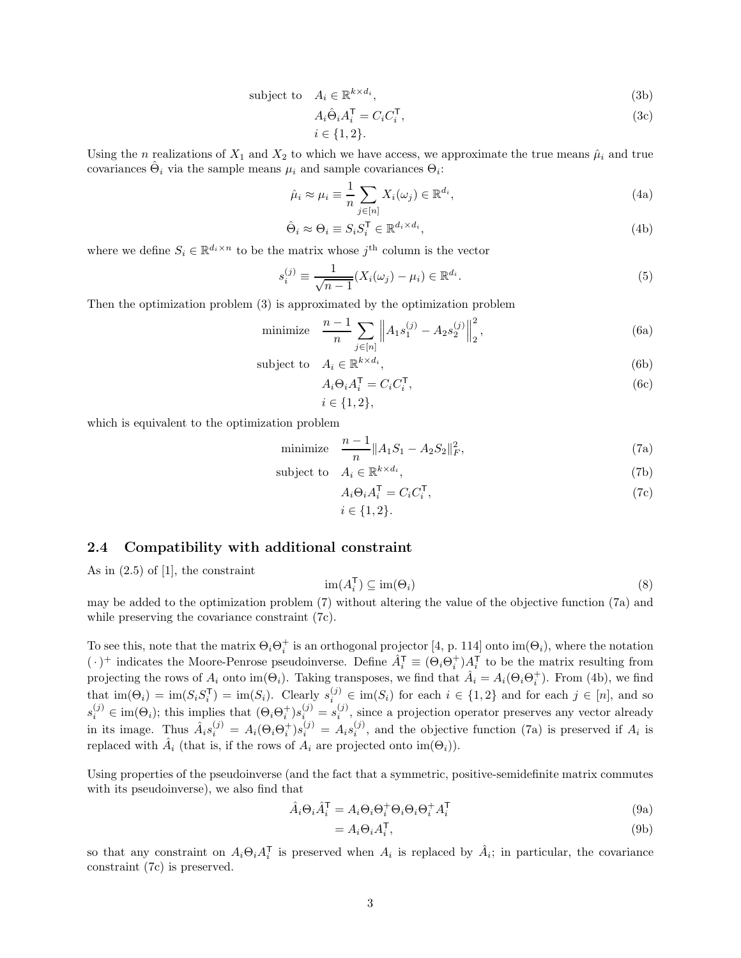subject to 
$$
A_i \in \mathbb{R}^{k \times d_i}
$$
, 
$$
(3b)
$$

$$
A_i \hat{\Theta}_i A_i^{\mathsf{T}} = C_i C_i^{\mathsf{T}},\tag{3c}
$$

$$
i\in\{1,2\}.
$$

Using the n realizations of  $X_1$  and  $X_2$  to which we have access, we approximate the true means  $\hat{\mu}_i$  and true covariances  $\hat{\Theta}_i$  via the sample means  $\mu_i$  and sample covariances  $\Theta_i$ :

$$
\hat{\mu}_i \approx \mu_i \equiv \frac{1}{n} \sum_{j \in [n]} X_i(\omega_j) \in \mathbb{R}^{d_i},\tag{4a}
$$

$$
\hat{\Theta}_i \approx \Theta_i \equiv S_i S_i^{\mathsf{T}} \in \mathbb{R}^{d_i \times d_i},\tag{4b}
$$

where we define  $S_i \in \mathbb{R}^{d_i \times n}$  to be the matrix whose  $j^{\text{th}}$  column is the vector

$$
s_i^{(j)} \equiv \frac{1}{\sqrt{n-1}} (X_i(\omega_j) - \mu_i) \in \mathbb{R}^{d_i}.
$$
 (5)

Then the optimization problem (3) is approximated by the optimization problem

minimize 
$$
\frac{n-1}{n} \sum_{j \in [n]} \|A_1 s_1^{(j)} - A_2 s_2^{(j)}\|_2^2
$$
, (6a)

subject to 
$$
A_i \in \mathbb{R}^{k \times d_i}
$$
, 
$$
(6b)
$$

$$
A_i \Theta_i A_i^{\mathsf{T}} = C_i C_i^{\mathsf{T}},\tag{6c}
$$

$$
i\in\{1,2\},\
$$

which is equivalent to the optimization problem

minimize 
$$
\frac{n-1}{n} ||A_1 S_1 - A_2 S_2||_F^2
$$
, (7a)

subject to 
$$
A_i \in \mathbb{R}^{k \times d_i}
$$
, 
$$
(7b)
$$

$$
A_i \Theta_i A_i^{\mathsf{T}} = C_i C_i^{\mathsf{T}},
$$
  
\n
$$
i \in \{1, 2\}.
$$
\n(7c)

#### 2.4 Compatibility with additional constraint

As in  $(2.5)$  of [1], the constraint

$$
\operatorname{im}(A_i^{\mathsf{T}}) \subseteq \operatorname{im}(\Theta_i) \tag{8}
$$

may be added to the optimization problem (7) without altering the value of the objective function (7a) and while preserving the covariance constraint (7c).

To see this, note that the matrix  $\Theta_i \Theta_i^+$  is an orthogonal projector [4, p. 114] onto  $\text{im}(\Theta_i)$ , where the notation  $(\cdot)^+$  indicates the Moore-Penrose pseudoinverse. Define  $\hat{A}_i^{\mathsf{T}} \equiv (\Theta_i \Theta_i^+) A_i^{\mathsf{T}}$  to be the matrix resulting from projecting the rows of  $A_i$  onto im( $\Theta_i$ ). Taking transposes, we find that  $\hat{A}_i = A_i(\Theta_i \Theta_i^+)$ . From (4b), we find that  $\text{im}(\Theta_i) = \text{im}(S_i S_i^{\mathsf{T}}) = \text{im}(S_i)$ . Clearly  $s_i^{(j)} \in \text{im}(S_i)$  for each  $i \in \{1,2\}$  and for each  $j \in [n]$ , and so  $s_i^{(j)} \in \text{im}(\Theta_i)$ ; this implies that  $(\Theta_i \Theta_i^+) s_{i,j}^{(j)} = s_i^{(j)}$ , since a projection operator preserves any vector already in its image. Thus  $\hat{A}_i s_i^{(j)} = A_i(\Theta_i \Theta_i^+) s_i^{(j)} = A_i s_i^{(j)}$  $i^{(j)}$ , and the objective function (7a) is preserved if  $A_i$  is replaced with  $\hat{A}_i$  (that is, if the rows of  $A_i$  are projected onto  $\text{im}(\Theta_i)$ ).

Using properties of the pseudoinverse (and the fact that a symmetric, positive-semidefinite matrix commutes with its pseudoinverse), we also find that

$$
\hat{A}_i \Theta_i \hat{A}_i^{\mathsf{T}} = A_i \Theta_i \Theta_i^+ \Theta_i \Theta_i \Theta_i^+ A_i^{\mathsf{T}}
$$
\n(9a)

$$
=A_i\Theta_iA_i^{\mathsf{T}},\tag{9b}
$$

so that any constraint on  $A_i \Theta_i A_i^{\mathsf{T}}$  is preserved when  $A_i$  is replaced by  $\hat{A}_i$ ; in particular, the covariance constraint (7c) is preserved.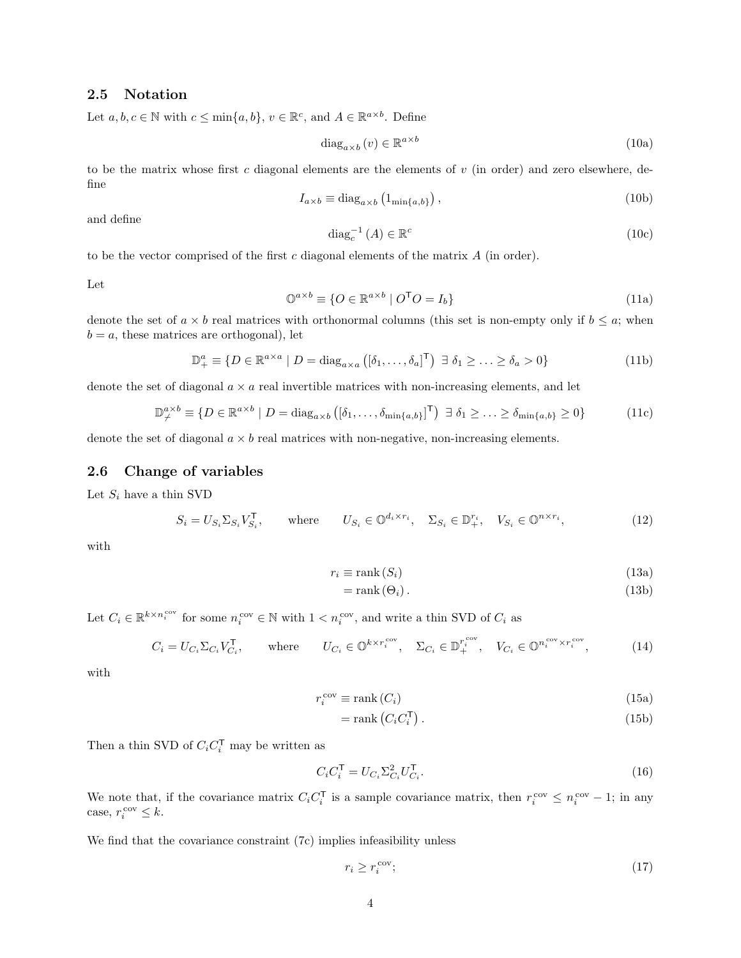### 2.5 Notation

Let  $a, b, c \in \mathbb{N}$  with  $c \le \min\{a, b\}, v \in \mathbb{R}^c$ , and  $A \in \mathbb{R}^{a \times b}$ . Define

$$
\text{diag}_{a \times b} \left( v \right) \in \mathbb{R}^{a \times b} \tag{10a}
$$

to be the matrix whose first c diagonal elements are the elements of  $v$  (in order) and zero elsewhere, define

$$
I_{a \times b} \equiv \text{diag}_{a \times b} \left( 1_{\min\{a, b\}} \right),\tag{10b}
$$

and define

$$
\operatorname{diag}_{c}^{-1}(A) \in \mathbb{R}^{c} \tag{10c}
$$

to be the vector comprised of the first  $c$  diagonal elements of the matrix  $A$  (in order).

Let

$$
\mathbb{O}^{a \times b} \equiv \{ O \in \mathbb{R}^{a \times b} \mid O^{\mathsf{T}}O = I_b \}
$$
\n(11a)

denote the set of  $a \times b$  real matrices with orthonormal columns (this set is non-empty only if  $b \leq a$ ; when  $b = a$ , these matrices are orthogonal), let

$$
\mathbb{D}_{+}^{a} \equiv \{ D \in \mathbb{R}^{a \times a} \mid D = \text{diag}_{a \times a} \left( [\delta_{1}, \dots, \delta_{a}]^{\mathsf{T}} \right) \exists \delta_{1} \geq \dots \geq \delta_{a} > 0 \}
$$
(11b)

denote the set of diagonal  $a \times a$  real invertible matrices with non-increasing elements, and let

$$
\mathbb{D}_{\neq}^{a \times b} \equiv \{ D \in \mathbb{R}^{a \times b} \mid D = \text{diag}_{a \times b} \left( [\delta_1, \dots, \delta_{\min\{a, b\}}]^{\mathsf{T}} \right) \exists \delta_1 \geq \dots \geq \delta_{\min\{a, b\}} \geq 0 \}
$$
(11c)

denote the set of diagonal  $a \times b$  real matrices with non-negative, non-increasing elements.

### 2.6 Change of variables

Let  $S_i$  have a thin SVD

$$
S_i = U_{S_i} \Sigma_{S_i} V_{S_i}^{\mathsf{T}}, \qquad \text{where} \qquad U_{S_i} \in \mathbb{O}^{d_i \times r_i}, \quad \Sigma_{S_i} \in \mathbb{D}_+^{r_i}, \quad V_{S_i} \in \mathbb{O}^{n \times r_i}, \tag{12}
$$

with

$$
r_i \equiv \text{rank}\,(S_i) \tag{13a}
$$

$$
= \text{rank}(\Theta_i). \tag{13b}
$$

Let  $C_i \in \mathbb{R}^{k \times n_i^{\text{cov}}}$  for some  $n_i^{\text{cov}} \in \mathbb{N}$  with  $1 \lt n_i^{\text{cov}}$ , and write a thin SVD of  $C_i$  as

$$
C_i = U_{C_i} \Sigma_{C_i} V_{C_i}^{\mathsf{T}}, \qquad \text{where} \qquad U_{C_i} \in \mathbb{O}^{k \times r_i^{\text{cov}}}, \quad \Sigma_{C_i} \in \mathbb{D}_+^{r_i^{\text{cov}}}, \quad V_{C_i} \in \mathbb{O}^{n_i^{\text{cov}} \times r_i^{\text{cov}}}, \tag{14}
$$

with

$$
r_i^{\text{cov}} \equiv \text{rank}\left(C_i\right) \tag{15a}
$$

$$
= \operatorname{rank}\left(C_{i}C_{i}^{\mathsf{T}}\right). \tag{15b}
$$

Then a thin SVD of  $C_i C_i^{\mathsf{T}}$  may be written as

$$
C_i C_i^{\mathsf{T}} = U_{C_i} \Sigma_{C_i}^2 U_{C_i}^{\mathsf{T}}.
$$
\n
$$
(16)
$$

We note that, if the covariance matrix  $C_i C_i^{\mathsf{T}}$  is a sample covariance matrix, then  $r_i^{\text{cov}} \leq n_i^{\text{cov}} - 1$ ; in any case,  $r_i^{\text{cov}} \leq k$ .

We find that the covariance constraint (7c) implies infeasibility unless

$$
r_i \ge r_i^{\text{cov}};\tag{17}
$$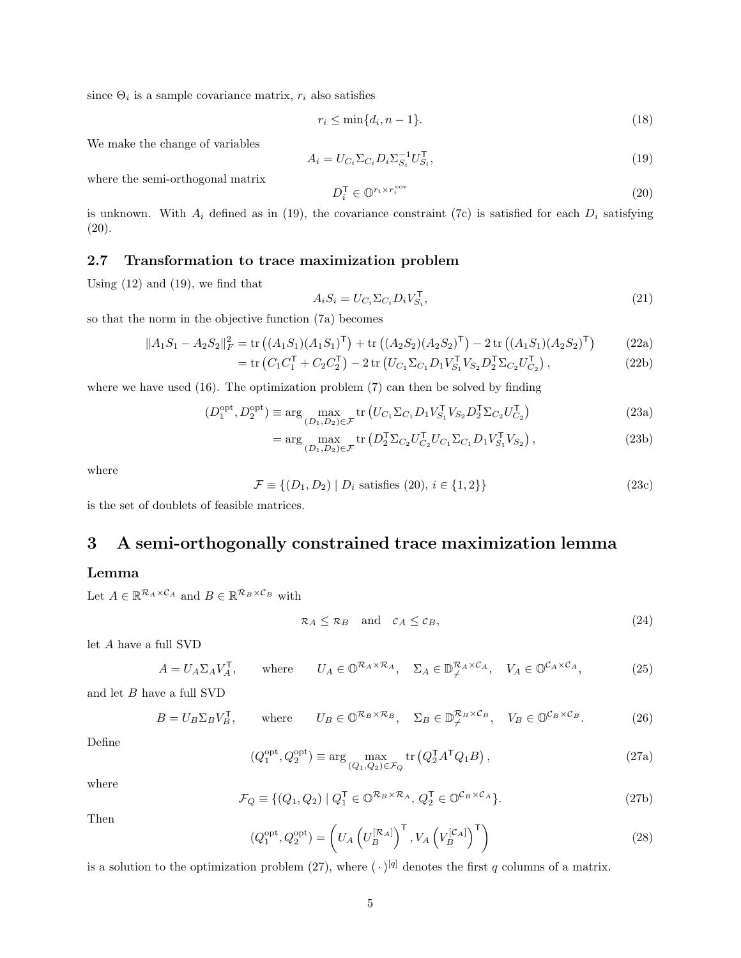since  $\Theta_i$  is a sample covariance matrix,  $r_i$  also satisfies

$$
r_i \le \min\{d_i, n-1\}.\tag{18}
$$

We make the change of variables

$$
A_i = U_{C_i} \Sigma_{C_i} D_i \Sigma_{S_i}^{-1} U_{S_i}^{\mathsf{T}},\tag{19}
$$

where the semi-orthogonal matrix

$$
D_i^{\mathsf{T}} \in \mathbb{O}^{r_i \times r_i^{\text{cov}}} \tag{20}
$$

is unknown. With  $A_i$  defined as in (19), the covariance constraint (7c) is satisfied for each  $D_i$  satisfying (20).

### 2.7 Transformation to trace maximization problem

Using  $(12)$  and  $(19)$ , we find that

$$
A_i S_i = U_{C_i} \Sigma_{C_i} D_i V_{S_i}^\mathsf{T},\tag{21}
$$

so that the norm in the objective function (7a) becomes

$$
||A_1S_1 - A_2S_2||_F^2 = \text{tr}\left((A_1S_1)(A_1S_1)^{\mathsf{T}}\right) + \text{tr}\left((A_2S_2)(A_2S_2)^{\mathsf{T}}\right) - 2\text{tr}\left((A_1S_1)(A_2S_2)^{\mathsf{T}}\right) \tag{22a}
$$

$$
= \text{tr}\left(C_1 C_1^{\mathsf{T}} + C_2 C_2^{\mathsf{T}}\right) - 2 \text{tr}\left(U_{C_1} \Sigma_{C_1} D_1 V_{S_1}^{\mathsf{T}} V_{S_2} D_2^{\mathsf{T}} \Sigma_{C_2} U_{C_2}^{\mathsf{T}}\right),\tag{22b}
$$

where we have used  $(16)$ . The optimization problem  $(7)$  can then be solved by finding

$$
(D_1^{\text{opt}}, D_2^{\text{opt}}) \equiv \arg\max_{(D_1, D_2) \in \mathcal{F}} \text{tr}\left(U_{C_1} \Sigma_{C_1} D_1 V_{S_1}^\mathsf{T} V_{S_2} D_2^\mathsf{T} \Sigma_{C_2} U_{C_2}^\mathsf{T}\right) \tag{23a}
$$

$$
= \arg\max_{(D_1, D_2) \in \mathcal{F}} \text{tr}\left(D_2^{\mathsf{T}} \Sigma_{C_2} U_{C_2}^{\mathsf{T}} U_{C_1} \Sigma_{C_1} D_1 V_{S_1}^{\mathsf{T}} V_{S_2}\right),\tag{23b}
$$

where

$$
\mathcal{F} \equiv \{ (D_1, D_2) \mid D_i \text{ satisfies (20), } i \in \{1, 2\} \} \tag{23c}
$$

is the set of doublets of feasible matrices.

# 3 A semi-orthogonally constrained trace maximization lemma

### Lemma

Let  $A \in \mathbb{R}^{\mathcal{R}_A \times \mathcal{C}_A}$  and  $B \in \mathbb{R}^{\mathcal{R}_B \times \mathcal{C}_B}$  with

$$
\mathcal{R}_A \leq \mathcal{R}_B \quad \text{and} \quad \mathcal{C}_A \leq \mathcal{C}_B,\tag{24}
$$

let A have a full SVD

$$
A = U_A \Sigma_A V_A^{\mathsf{T}}, \qquad \text{where} \qquad U_A \in \mathbb{O}^{\mathcal{R}_A \times \mathcal{R}_A}, \quad \Sigma_A \in \mathbb{D}_{\neq}^{\mathcal{R}_A \times \mathcal{C}_A}, \qquad V_A \in \mathbb{O}^{\mathcal{C}_A \times \mathcal{C}_A}, \tag{25}
$$

and let  $B$  have a full  $\operatorname{SVD}$ 

$$
B = U_B \Sigma_B V_B^{\mathsf{T}}, \qquad \text{where} \qquad U_B \in \mathbb{O}^{\mathcal{R}_B \times \mathcal{R}_B}, \quad \Sigma_B \in \mathbb{D}_{\neq}^{\mathcal{R}_B \times \mathcal{C}_B}, \quad V_B \in \mathbb{O}^{\mathcal{C}_B \times \mathcal{C}_B}.
$$
 (26)

Define

$$
(Q_1^{\text{opt}}, Q_2^{\text{opt}}) \equiv \arg\max_{(Q_1, Q_2) \in \mathcal{F}_Q} \text{tr}\left(Q_2^{\mathsf{T}} A^{\mathsf{T}} Q_1 B\right),\tag{27a}
$$

where

$$
\mathcal{F}_Q \equiv \{ (Q_1, Q_2) \mid Q_1^{\mathsf{T}} \in \mathbb{O}^{\mathcal{R}_B \times \mathcal{R}_A}, Q_2^{\mathsf{T}} \in \mathbb{O}^{\mathcal{C}_B \times \mathcal{C}_A} \}. \tag{27b}
$$

Then

$$
(Q_1^{\text{opt}}, Q_2^{\text{opt}}) = \left(U_A \left(U_B^{[\mathcal{R}_A]}\right)^\mathsf{T}, V_A \left(V_B^{[\mathcal{C}_A]}\right)^\mathsf{T}\right) \tag{28}
$$

is a solution to the optimization problem (27), where  $(\cdot)^{[q]}$  denotes the first q columns of a matrix.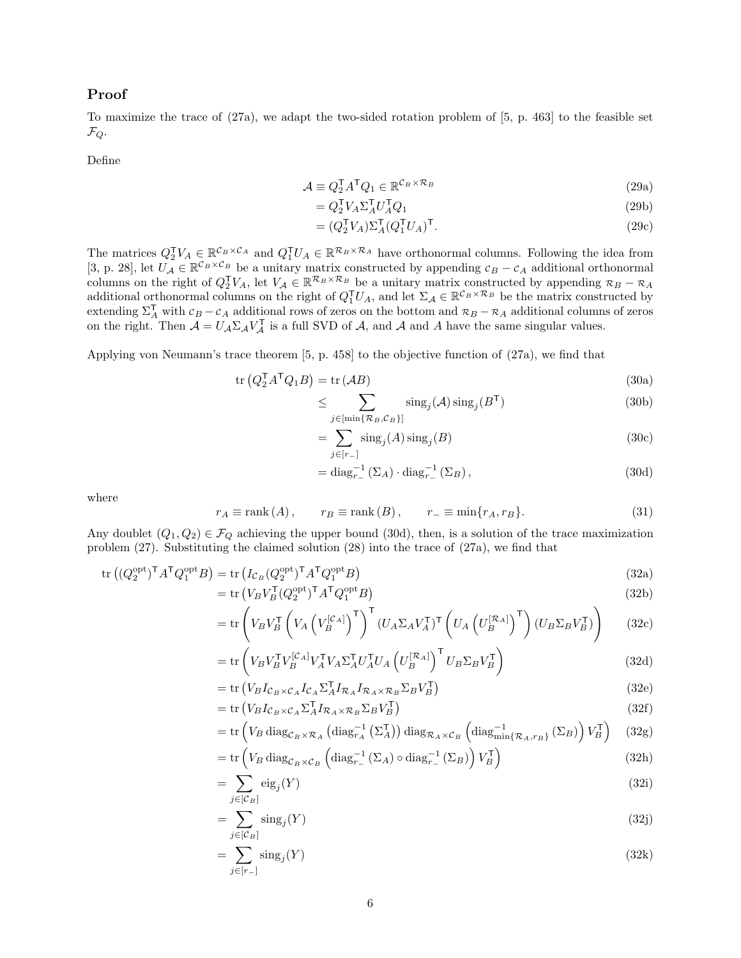### Proof

To maximize the trace of (27a), we adapt the two-sided rotation problem of [5, p. 463] to the feasible set  $\mathcal{F}_Q$ .

Define

$$
\mathcal{A} \equiv Q_2^{\mathsf{T}} A^{\mathsf{T}} Q_1 \in \mathbb{R}^{\mathcal{C}_B \times \mathcal{R}_B} \tag{29a}
$$

$$
= Q_2^{\mathsf{T}} V_A \Sigma_A^{\mathsf{T}} U_A^{\mathsf{T}} Q_1 \tag{29b}
$$

$$
= (Q_2^{\mathsf{T}} V_A) \Sigma_A^{\mathsf{T}} (Q_1^{\mathsf{T}} U_A)^{\mathsf{T}}.
$$
\n(29c)

The matrices  $Q_2^{\mathsf{T}} V_A \in \mathbb{R}^{\mathcal{C}_B \times \mathcal{C}_A}$  and  $Q_1^{\mathsf{T}} U_A \in \mathbb{R}^{\mathcal{R}_B \times \mathcal{R}_A}$  have orthonormal columns. Following the idea from [3, p. 28], let  $U_A \in \mathbb{R}^{\mathcal{C}_B \times \mathcal{C}_B}$  be a unitary matrix constructed by appending  $c_B - c_A$  additional orthonormal columns on the right of  $Q_2^{\mathsf{T}} V_A$ , let  $V_A \in \mathbb{R}^{\mathcal{R}_B \times \mathcal{R}_B}$  be a unitary matrix constructed by appending  $\mathcal{R}_B - \mathcal{R}_A$ additional orthonormal columns on the right of  $Q_1^{\mathsf{T}}U_A$ , and let  $\Sigma_{\mathcal{A}} \in \mathbb{R}^{\mathcal{C}_B \times \mathcal{R}_B}$  be the matrix constructed by extending  $\Sigma_A^T$  with  $c_B - c_A$  additional rows of zeros on the bottom and  $\mathcal{R}_B - \mathcal{R}_A$  additional columns of zeros on the right. Then  $\mathcal{A} = U_{\mathcal{A}} \Sigma_{\mathcal{A}} V_{\mathcal{A}}^{\mathsf{T}}$  is a full SVD of  $\mathcal{A}$ , and  $\mathcal{A}$  and  $\mathcal{A}$  have the same singular values.

Applying von Neumann's trace theorem [5, p. 458] to the objective function of (27a), we find that

$$
\operatorname{tr}\left(Q_2^{\mathsf{T}}A^{\mathsf{T}}Q_1B\right) = \operatorname{tr}\left(\mathcal{A}B\right) \tag{30a}
$$

$$
\leq \sum_{j \in [\min\{\mathcal{R}_B, \mathcal{C}_B\}]} \text{sing}_j(\mathcal{A}) \text{sing}_j(B^{\mathsf{T}})
$$
(30b)

$$
=\sum_{j\in[r_{-}]}sing_{j}(A) \text{sing}_{j}(B) \tag{30c}
$$

$$
= \operatorname{diag}_{r_{-}}^{-1}(\Sigma_{A}) \cdot \operatorname{diag}_{r_{-}}^{-1}(\Sigma_{B}), \qquad (30d)
$$

where

$$
r_A \equiv \text{rank}(A), \qquad r_B \equiv \text{rank}(B), \qquad r_- \equiv \min\{r_A, r_B\}. \tag{31}
$$

Any doublet  $(Q_1, Q_2) \in \mathcal{F}_Q$  achieving the upper bound (30d), then, is a solution of the trace maximization problem (27). Substituting the claimed solution (28) into the trace of (27a), we find that

$$
\operatorname{tr}\left((Q_2^{\operatorname{opt}})^{\mathsf{T}}A^{\mathsf{T}}Q_1^{\operatorname{opt}}B\right) = \operatorname{tr}\left(I_{\mathcal{C}_B}(Q_2^{\operatorname{opt}})^{\mathsf{T}}A^{\mathsf{T}}Q_1^{\operatorname{opt}}B\right)
$$
(32a)

$$
= \text{tr}\left(V_B V_B^{\mathsf{T}} (Q_2^{\text{opt}})^{\mathsf{T}} A^{\mathsf{T}} Q_1^{\text{opt}} B\right) \tag{32b}
$$

$$
= \operatorname{tr}\left(V_B V_B^{\mathsf{T}}\left(V_A \left(V_B^{[\mathcal{C}_A]}\right)^{\mathsf{T}}\right)^{\mathsf{T}} (U_A \Sigma_A V_A^{\mathsf{T}})^{\mathsf{T}} \left(U_A \left(U_B^{[\mathcal{R}_A]}\right)^{\mathsf{T}}\right) (U_B \Sigma_B V_B^{\mathsf{T}})\right) \tag{32c}
$$

$$
= \operatorname{tr}\left(V_B V_B^{\mathsf{T}} V_B^{[\mathcal{C}_A]} V_A^{\mathsf{T}} V_A \Sigma_A^{\mathsf{T}} U_A^{\mathsf{T}} U_A \left(U_B^{[\mathcal{R}_A]}\right)^{\mathsf{T}} U_B \Sigma_B V_B^{\mathsf{T}}\right) \tag{32d}
$$

$$
= \text{tr}\left(V_B I_{\mathcal{C}_B \times \mathcal{C}_A} I_{\mathcal{C}_A} \Sigma_A^{\mathsf{T}} I_{\mathcal{R}_A} I_{\mathcal{R}_A \times \mathcal{R}_B} \Sigma_B V_B^{\mathsf{T}}\right) \tag{32e}
$$

$$
= \operatorname{tr}\left(V_B I_{\mathcal{C}_B \times \mathcal{C}_A} \Sigma_A^{\dagger} I_{\mathcal{R}_A \times \mathcal{R}_B} \Sigma_B V_B^{\dagger}\right) \tag{32f}
$$

$$
= \operatorname{tr} \left( V_B \operatorname{diag}_{\mathcal{C}_B \times \mathcal{R}_A} \left( \operatorname{diag}_{r_A}^{-1} \left( \Sigma_A^{\mathsf{T}} \right) \right) \operatorname{diag}_{\mathcal{R}_A \times \mathcal{C}_B} \left( \operatorname{diag}_{\min \{ \mathcal{R}_A, r_B \}}^{-1} \left( \Sigma_B \right) \right) V_B^{\mathsf{T}} \right) \tag{32g}
$$

$$
= \operatorname{tr}\left(V_B \operatorname{diag}_{\mathcal{C}_B \times \mathcal{C}_B} \left( \operatorname{diag}_{r_-}^{-1} (\Sigma_A) \circ \operatorname{diag}_{r_-}^{-1} (\Sigma_B) \right) V_B^{\mathsf{T}} \right) \tag{32h}
$$

$$
=\sum_{j\in[\mathcal{C}_B]}\text{eig}_j(Y)\tag{32i}
$$

$$
=\sum_{j\in[\mathcal{C}_B]}\text{sing}_j(Y)\tag{32j}
$$

$$
=\sum_{j\in[r-]}sing_j(Y)\tag{32k}
$$

=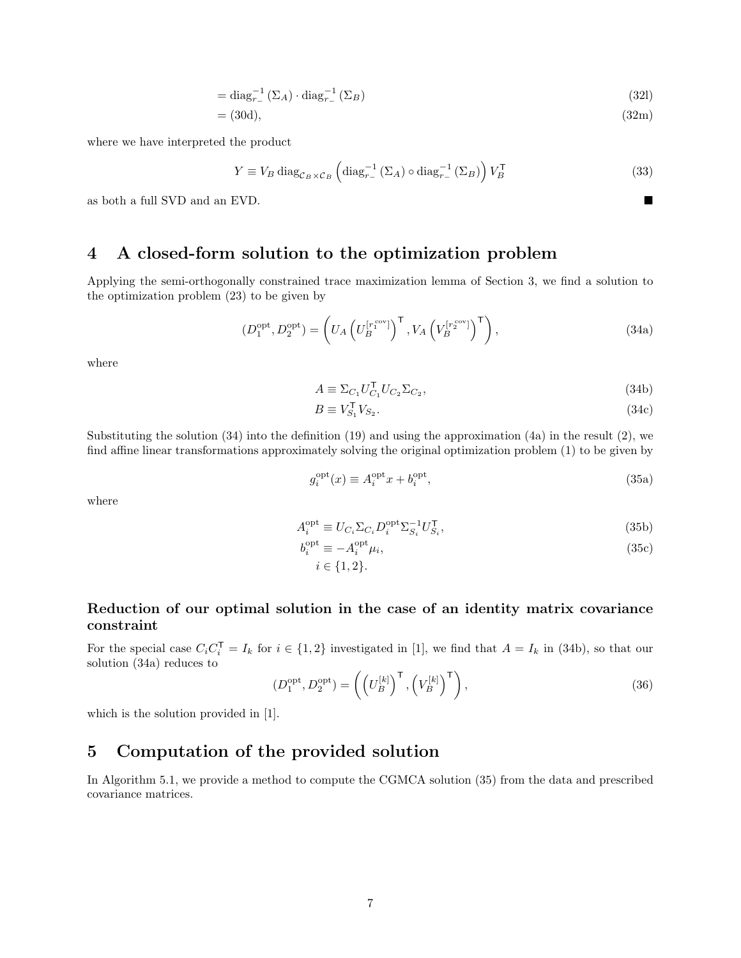$$
= \operatorname{diag}_{r_{-}}^{-1}(\Sigma_{A}) \cdot \operatorname{diag}_{r_{-}}^{-1}(\Sigma_{B})
$$
\n(32)

$$
= (30d), \tag{32m}
$$

where we have interpreted the product

$$
Y \equiv V_B \operatorname{diag}_{\mathcal{C}_B \times \mathcal{C}_B} \left( \operatorname{diag}_{r_-}^{-1} (\Sigma_A) \circ \operatorname{diag}_{r_-}^{-1} (\Sigma_B) \right) V_B^{\mathsf{T}} \tag{33}
$$

as both a full SVD and an EVD.

# 4 A closed-form solution to the optimization problem

Applying the semi-orthogonally constrained trace maximization lemma of Section 3, we find a solution to the optimization problem (23) to be given by

$$
(D_1^{\text{opt}}, D_2^{\text{opt}}) = \left( U_A \left( U_B^{[r_1^{\text{cov}}]} \right)^{\mathsf{T}}, V_A \left( V_B^{[r_2^{\text{cov}}]} \right)^{\mathsf{T}} \right),\tag{34a}
$$

where

$$
A \equiv \Sigma_{C_1} U_{C_1}^\mathsf{T} U_{C_2} \Sigma_{C_2},\tag{34b}
$$

$$
B \equiv V_{S_1}^\mathsf{T} V_{S_2}.\tag{34c}
$$

Substituting the solution (34) into the definition (19) and using the approximation (4a) in the result (2), we find affine linear transformations approximately solving the original optimization problem (1) to be given by

$$
g_i^{\text{opt}}(x) \equiv A_i^{\text{opt}}x + b_i^{\text{opt}},\tag{35a}
$$

where

$$
A_i^{\text{opt}} \equiv U_{C_i} \Sigma_{C_i} D_i^{\text{opt}} \Sigma_{S_i}^{-1} U_{S_i}^{\mathsf{T}},\tag{35b}
$$

$$
b_i^{\text{opt}} \equiv -A_i^{\text{opt}} \mu_i,\tag{35c}
$$

 $i \in \{1, 2\}.$ 

### Reduction of our optimal solution in the case of an identity matrix covariance constraint

For the special case  $C_i C_i^{\mathsf{T}} = I_k$  for  $i \in \{1,2\}$  investigated in [1], we find that  $A = I_k$  in (34b), so that our solution (34a) reduces to

$$
(D_1^{\text{opt}}, D_2^{\text{opt}}) = \left( \left( U_B^{[k]} \right)^{\mathsf{T}}, \left( V_B^{[k]} \right)^{\mathsf{T}} \right),\tag{36}
$$

which is the solution provided in [1].

# 5 Computation of the provided solution

In Algorithm 5.1, we provide a method to compute the CGMCA solution (35) from the data and prescribed covariance matrices.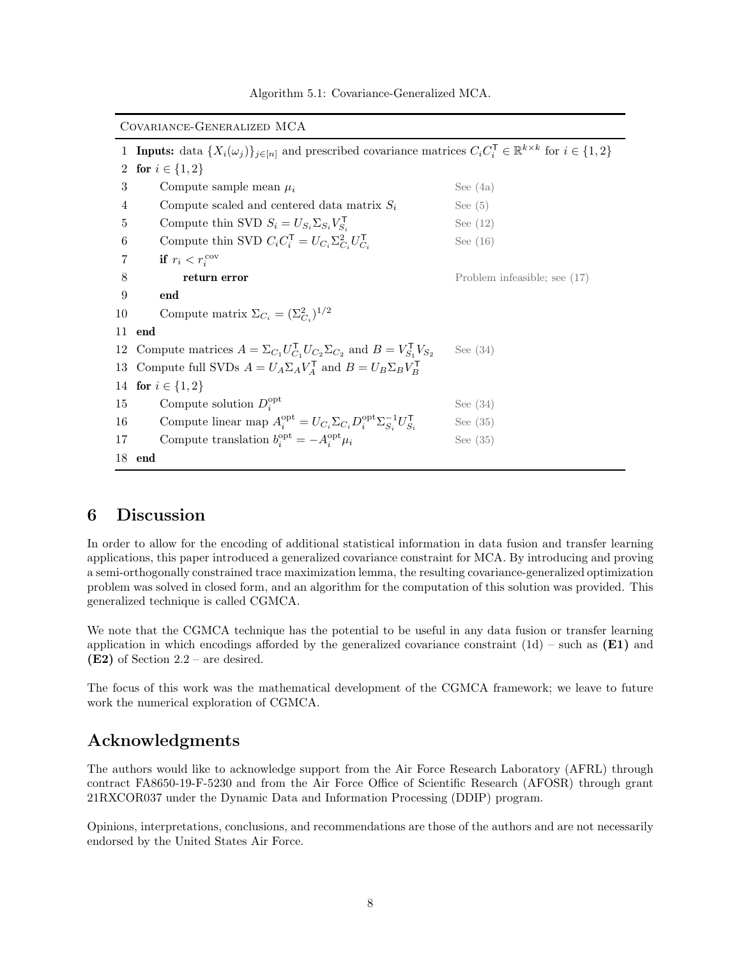| COVARIANCE-GENERALIZED MCA |                                                                                                                                                                |                              |  |
|----------------------------|----------------------------------------------------------------------------------------------------------------------------------------------------------------|------------------------------|--|
| $\mathbf{1}$               | <b>Inputs:</b> data $\{X_i(\omega_j)\}_{j \in [n]}$ and prescribed covariance matrices $C_i C_i^{\mathsf{T}} \in \mathbb{R}^{k \times k}$ for $i \in \{1, 2\}$ |                              |  |
| $\overline{2}$             | for $i \in \{1, 2\}$                                                                                                                                           |                              |  |
| 3                          | Compute sample mean $\mu_i$                                                                                                                                    | See $(4a)$                   |  |
| 4                          | Compute scaled and centered data matrix $S_i$                                                                                                                  | See $(5)$                    |  |
| 5                          | Compute thin SVD $S_i = U_{S_i} \Sigma_{S_i} V_{S_i}^{\mathsf{T}}$                                                                                             | See $(12)$                   |  |
| $\,6$                      | Compute thin SVD $C_i C_i^{\mathsf{T}} = U_{C_i} \Sigma_{C_i}^2 U_{C_i}^{\mathsf{T}}$                                                                          | See $(16)$                   |  |
| 7                          | if $r_i < r_i^{\text{cov}}$                                                                                                                                    |                              |  |
| 8                          | return error                                                                                                                                                   | Problem infeasible; see (17) |  |
| 9                          | end                                                                                                                                                            |                              |  |
| 10                         | Compute matrix $\Sigma_{C_i} = (\Sigma_{C_i}^2)^{1/2}$                                                                                                         |                              |  |
| 11                         | end                                                                                                                                                            |                              |  |
|                            | 12 Compute matrices $A = \sum_{C_1} U_{C_1}^{\mathsf{T}} U_{C_2} \Sigma_{C_2}$ and $B = V_{S_1}^{\mathsf{T}} V_{S_2}$                                          | See $(34)$                   |  |
|                            | 13 Compute full SVDs $A = U_A \Sigma_A V_A^{\mathsf{T}}$ and $B = U_B \Sigma_B V_B^{\mathsf{T}}$                                                               |                              |  |
|                            | 14 for $i \in \{1,2\}$                                                                                                                                         |                              |  |
| 15                         | Compute solution $D_i^{\text{opt}}$                                                                                                                            | See $(34)$                   |  |
| 16                         | Compute linear map $A_i^{\text{opt}} = U_{C_i} \Sigma_{C_i} D_i^{\text{opt}} \Sigma_{S_i}^{-1} U_{S_i}^{\mathsf{T}}$                                           | See $(35)$                   |  |
| 17                         | Compute translation $b_i^{\text{opt}} = -A_i^{\text{opt}} \mu_i$                                                                                               | See $(35)$                   |  |
|                            | 18 end                                                                                                                                                         |                              |  |

Algorithm 5.1: Covariance-Generalized MCA.

# 6 Discussion

In order to allow for the encoding of additional statistical information in data fusion and transfer learning applications, this paper introduced a generalized covariance constraint for MCA. By introducing and proving a semi-orthogonally constrained trace maximization lemma, the resulting covariance-generalized optimization problem was solved in closed form, and an algorithm for the computation of this solution was provided. This generalized technique is called CGMCA.

We note that the CGMCA technique has the potential to be useful in any data fusion or transfer learning application in which encodings afforded by the generalized covariance constraint  $(1d)$  – such as  $(E1)$  and (E2) of Section 2.2 – are desired.

The focus of this work was the mathematical development of the CGMCA framework; we leave to future work the numerical exploration of CGMCA.

# Acknowledgments

The authors would like to acknowledge support from the Air Force Research Laboratory (AFRL) through contract FA8650-19-F-5230 and from the Air Force Office of Scientific Research (AFOSR) through grant 21RXCOR037 under the Dynamic Data and Information Processing (DDIP) program.

Opinions, interpretations, conclusions, and recommendations are those of the authors and are not necessarily endorsed by the United States Air Force.